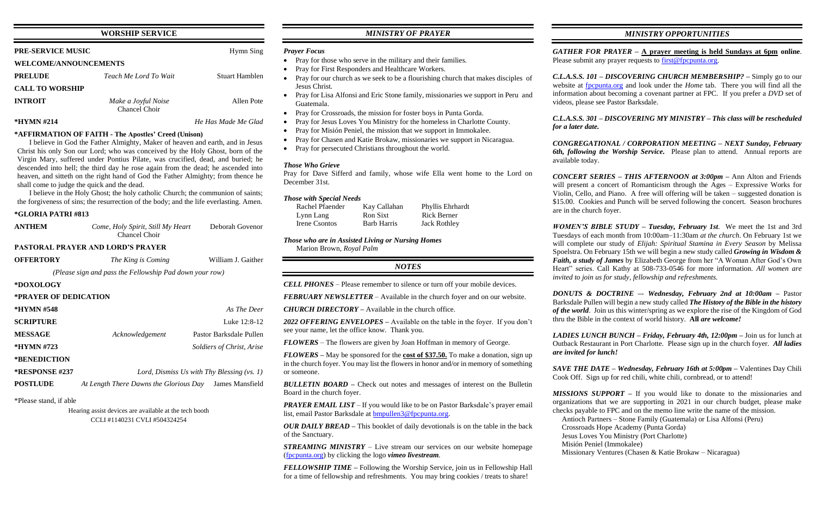### **WORSHIP SERVICE**

## **PRE-SERVICE MUSIC Hymn Sing WELCOME/ANNOUNCEMENTS PRELUDE** *Teach Me Lord To Wait* Stuart Hamblen **CALL TO WORSHIP INTROIT** *Make a Joyful Noise* Allen Pote Chancel Choir

**\*HYMN #214** *He Has Made Me Glad*

#### **\*AFFIRMATION OF FAITH - The Apostles' Creed (Unison)**

I believe in God the Father Almighty, Maker of heaven and earth, and in Jesus Christ his only Son our Lord; who was conceived by the Holy Ghost, born of the Virgin Mary, suffered under Pontius Pilate, was crucified, dead, and buried; he descended into hell; the third day he rose again from the dead; he ascended into heaven, and sitteth on the right hand of God the Father Almighty; from thence he shall come to judge the quick and the dead.

I believe in the Holy Ghost; the holy catholic Church; the communion of saints; the forgiveness of sins; the resurrection of the body; and the life everlasting. Amen.

## **\*GLORIA PATRI #813**

| *\TLUKIA PATKI#ðI3    |                                                         |                           |
|-----------------------|---------------------------------------------------------|---------------------------|
| <b>ANTHEM</b>         | Come, Holy Spirit, Still My Heart<br>Chancel Choir      | Deborah Govenor           |
|                       | <b>PASTORAL PRAYER AND LORD'S PRAYER</b>                |                           |
| <b>OFFERTORY</b>      | The King is Coming                                      | William J. Gaither        |
|                       | (Please sign and pass the Fellowship Pad down your row) |                           |
| *DOXOLOGY             |                                                         |                           |
| *PRAYER OF DEDICATION |                                                         |                           |
| *HYMN #548            |                                                         | As The Deer               |
| <b>SCRIPTURE</b>      |                                                         | Luke 12:8-12              |
| <b>MESSAGE</b>        | Acknowledgement                                         | Pastor Barksdale Pullen   |
| *HYMN #723            |                                                         | Soldiers of Christ, Arise |
| *BENEDICTION          |                                                         |                           |
| <b>*RESPONSE #237</b> | Lord, Dismiss Us with Thy Blessing $(vs. 1)$            |                           |
| <b>POSTLUDE</b>       | At Length There Dawns the Glorious Day                  | James Mansfield           |
|                       |                                                         |                           |

\*Please stand, if able

Hearing assist devices are available at the tech booth CCLI #1140231 CVLI #504324254

## *MINISTRY OF PRAYER*

#### *Prayer Focus*

- Pray for those who serve in the military and their families.
- Pray for First Responders and Healthcare Workers.
- Pray for our church as we seek to be a flourishing church that makes disciples of Jesus Christ.
- Pray for Lisa Alfonsi and Eric Stone family, missionaries we support in Peru and Guatemala.
- Pray for Crossroads, the mission for foster boys in Punta Gorda.
- Pray for Jesus Loves You Ministry for the homeless in Charlotte County.
- Pray for Misión Peniel, the mission that we support in Immokalee.
- Pray for Chasen and Katie Brokaw, missionaries we support in Nicaragua.
- Pray for persecuted Christians throughout the world.

*GATHER FOR PRAYER –* **A prayer meeting is held Sundays at 6pm online**. Please submit any prayer requests to [first@fpcpunta.org.](about:blank)

### *Those Who Grieve*

Pray for Dave Sifferd and family, whose wife Ella went home to the Lord on December 31st.

### *Those with Special Needs*

| Rachel Pfaender | Kay Callahan       | Phyllis Ehrhardt    |
|-----------------|--------------------|---------------------|
| Lynn Lang       | Ron Sixt           | <b>Rick Berner</b>  |
| Irene Csontos   | <b>Barb Harris</b> | <b>Jack Rothley</b> |

*Those who are in Assisted Living or Nursing Homes*

Marion Brown, *Royal Palm*

*NOTES*

*CELL PHONES –* Please remember to silence or turn off your mobile devices.

*FEBRUARY NEWSLETTER –* Available in the church foyer and on our website.

*CHURCH DIRECTORY –* Available in the church office.

*2022 OFFERING ENVELOPES –* Available on the table in the foyer. If you don't see your name, let the office know. Thank you.

*FLOWERS* – The flowers are given by Joan Hoffman in memory of George.

*FLOWERS –* May be sponsored for the **cost of \$37.50.** To make a donation, sign up in the church foyer. You may list the flowers in honor and/or in memory of something or someone.

*BULLETIN BOARD –* Check out notes and messages of interest on the Bulletin Board in the church foyer.

*PRAYER EMAIL LIST* – If you would like to be on Pastor Barksdale's prayer email list, email Pastor Barksdale at **bmpullen3@fpcpunta.org**.

*OUR DAILY BREAD –* This booklet of daily devotionals is on the table in the back of the Sanctuary.

*STREAMING MINISTRY –* Live stream our services on our website homepage [\(fpcpunta.org\)](about:blank) by clicking the logo *vimeo livestream.*

*FELLOWSHIP TIME –* Following the Worship Service, join us in Fellowship Hall for a time of fellowship and refreshments. You may bring cookies / treats to share!

## *MINISTRY OPPORTUNITIES*

*C.L.A.S.S. 101 – DISCOVERING CHURCH MEMBERSHIP? –* Simply go to our website at [fpcpunta.org](about:blank) and look under the *Home* tab. There you will find all the information about becoming a covenant partner at FPC. If you prefer a *DVD* set of videos, please see Pastor Barksdale.

*C.L.A.S.S. 301 – DISCOVERING MY MINISTRY – This class will be rescheduled* 

*for a later date.*

*CONGREGATIONAL / CORPORATION MEETING – NEXT Sunday, February 6th, following the Worship Service.* Please plan to attend. Annual reports are

available today.

*CONCERT SERIES – THIS AFTERNOON at 3:00pm –* Ann Alton and Friends will present a concert of Romanticism through the Ages – Expressive Works for Violin, Cello, and Piano. A free will offering will be taken – suggested donation is \$15.00. Cookies and Punch will be served following the concert. Season brochures are in the church foyer.

*WOMEN'S BIBLE STUDY – Tuesday, February 1st*. We meet the 1st and 3rd Tuesdays of each month from 10:00am–11:30am *at the church*. On February 1st we will complete our study of *Elijah: Spiritual Stamina in Every Season* by Melissa Spoelstra. On February 15th we will begin a new study called *Growing in Wisdom & Faith, a study of James* by Elizabeth George from her "A Woman After God's Own Heart" series. Call Kathy at 508-733-0546 for more information. *All women are invited to join us for study, fellowship and refreshments.*

*DONUTS & DOCTRINE –*- *Wednesday, February 2nd at 10:00am –* Pastor Barksdale Pullen will begin a new study called *The History of the Bible in the history of the world*. Join us this winter/spring as we explore the rise of the Kingdom of God thru the Bible in the context of world history. **All** *are welcome!*

*LADIES LUNCH BUNCH – Friday, February 4th, 12:00pm –* Join us for lunch at Outback Restaurant in Port Charlotte. Please sign up in the church foyer. *All ladies are invited for lunch!*

*SAVE THE DATE – Wednesday, February 16th at 5:00pm –* Valentines Day Chili Cook Off. Sign up for red chili, white chili, cornbread, or to attend!

*MISSIONS SUPPORT –* If you would like to donate to the missionaries and organizations that we are supporting in 2021 in our church budget, please make

checks payable to FPC and on the memo line write the name of the mission. Antioch Partners – Stone Family (Guatemala) or Lisa Alfonsi (Peru) Crossroads Hope Academy (Punta Gorda) Jesus Loves You Ministry (Port Charlotte) Misión Peniel (Immokalee) Missionary Ventures (Chasen & Katie Brokaw – Nicaragua)